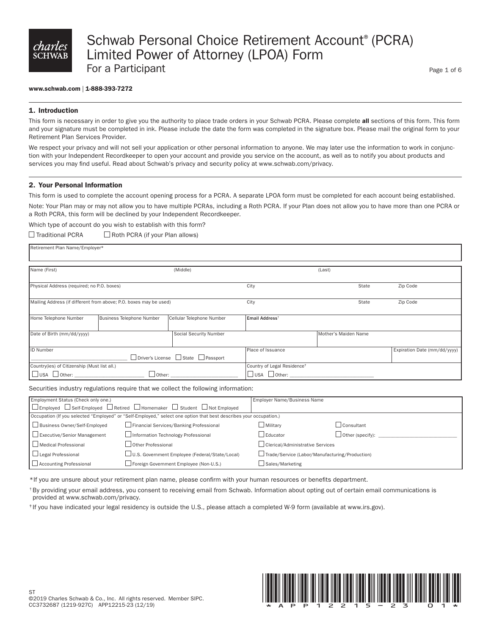

#### www.schwab.com | 1-888-393-7272

#### 1. Introduction

This form is necessary in order to give you the authority to place trade orders in your Schwab PCRA. Please complete all sections of this form. This form and your signature must be completed in ink. Please include the date the form was completed in the signature box. Please mail the original form to your Retirement Plan Services Provider.

We respect your privacy and will not sell your application or other personal information to anyone. We may later use the information to work in conjunction with your Independent Recordkeeper to open your account and provide you service on the account, as well as to notify you about products and services you may find useful. Read about Schwab's privacy and security policy at www.schwab.com/privacy.

#### 2. Your Personal Information

This form is used to complete the account opening process for a PCRA. A separate LPOA form must be completed for each account being established. Note: Your Plan may or may not allow you to have multiple PCRAs, including a Roth PCRA. If your Plan does not allow you to have more than one PCRA or a Roth PCRA, this form will be declined by your Independent Recordkeeper.

Which type of account do you wish to establish with this form?  $\Box$  Roth PCRA (if your Plan allows)

| $\Box$ Traditional PCRA |  |
|-------------------------|--|
|-------------------------|--|

Retirement Plan Name/Employer\*

| Name (First)                                                                                                                            |                           | (Middle)                                                                   |                            | (Last)                       |          |
|-----------------------------------------------------------------------------------------------------------------------------------------|---------------------------|----------------------------------------------------------------------------|----------------------------|------------------------------|----------|
| Physical Address (required; no P.O. boxes)                                                                                              |                           |                                                                            | City                       | State                        | Zip Code |
| Mailing Address (if different from above; P.O. boxes may be used)                                                                       |                           | City                                                                       | State                      | Zip Code                     |          |
| Home Telephone Number                                                                                                                   | Business Telephone Number | Cellular Telephone Number                                                  | Email Address <sup>t</sup> |                              |          |
| Date of Birth (mm/dd/yyyy)                                                                                                              |                           | Social Security Number                                                     |                            | Mother's Maiden Name         |          |
| ID Number<br>$\Box$ Driver's License $\Box$ State $\Box$ Passport                                                                       |                           | Place of Issuance                                                          |                            | Expiration Date (mm/dd/yyyy) |          |
| Country(ies) of Citizenship (Must list all.)<br>$\Box$ USA $\Box$ Other: $\_\_\_\_\_\_\_\_\_\_\_\_\_\_\_\_\_\_$<br>$\Box$ Other: $\Box$ |                           | Country of Legal Residence <sup>+</sup><br>$\Box$ USA $\Box$ Other: $\Box$ |                            |                              |          |

#### Securities industry regulations require that we collect the following information:

| Employment Status (Check only one.)                                                                     |                                                                                                                    | Employer Name/Business Name                    |                         |
|---------------------------------------------------------------------------------------------------------|--------------------------------------------------------------------------------------------------------------------|------------------------------------------------|-------------------------|
| $\Box$ Employed $\Box$ Self-Employed $\Box$ Retired $\Box$ Homemaker $\Box$ Student $\Box$ Not Employed |                                                                                                                    |                                                |                         |
|                                                                                                         | Occupation (If you selected "Employed" or "Self-Employed," select one option that best describes your occupation.) |                                                |                         |
| Business Owner/Self-Employed                                                                            | Financial Services/Banking Professional                                                                            | $\Box$ Militarv                                | Consultant              |
| Executive/Senior Management                                                                             | Information Technology Professional                                                                                | Leducator                                      | $\Box$ Other (specify): |
| □ Medical Professional                                                                                  | Other Professional                                                                                                 | □ Clerical/Administrative Services             |                         |
| Legal Professional                                                                                      | U.S. Government Employee (Federal/State/Local)                                                                     | Trade/Service (Labor/Manufacturing/Production) |                         |
| Accounting Professional                                                                                 | Foreign Government Employee (Non-U.S.)                                                                             | ⊿ Sales/Marketing                              |                         |

\*If you are unsure about your retirement plan name, please confirm with your human resources or benefits department.

†By providing your email address, you consent to receiving email from Schwab. Information about opting out of certain email communications is provided at www.schwab.com/privacy.

‡ If you have indicated your legal residency is outside the U.S., please attach a completed W-9 form (available at www.irs.gov).

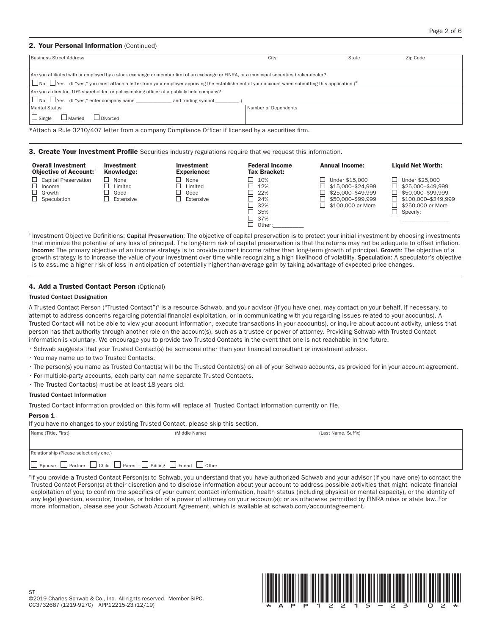#### 2. Your Personal Information (Continued)

| City                 | State | Zip Code                                                                                                                                                                                                                                                                                        |
|----------------------|-------|-------------------------------------------------------------------------------------------------------------------------------------------------------------------------------------------------------------------------------------------------------------------------------------------------|
|                      |       |                                                                                                                                                                                                                                                                                                 |
|                      |       |                                                                                                                                                                                                                                                                                                 |
|                      |       |                                                                                                                                                                                                                                                                                                 |
|                      |       |                                                                                                                                                                                                                                                                                                 |
| Number of Dependents |       |                                                                                                                                                                                                                                                                                                 |
|                      |       |                                                                                                                                                                                                                                                                                                 |
|                      |       | Are you affiliated with or employed by a stock exchange or member firm of an exchange or FINRA, or a municipal securities broker-dealer?<br>  □ No □ Yes (If "yes," you must attach a letter from your employer approving the establishment of your account when submitting this application.)* |

\*Attach a Rule 3210/407 letter from a company Compliance Officer if licensed by a securities firm.

**3. Create Your Investment Profile** Securities industry regulations require that we request this information.

| <b>Overall Investment</b><br><b>Objective of Account:</b> <sup>†</sup>       | <b>Investment</b><br>Knowledge:      | Investment<br><b>Experience:</b>     | <b>Federal Income</b><br>Tax Bracket:                                                            | <b>Annual Income:</b>                                                                              | <b>Liquid Net Worth:</b>                                                                                                |
|------------------------------------------------------------------------------|--------------------------------------|--------------------------------------|--------------------------------------------------------------------------------------------------|----------------------------------------------------------------------------------------------------|-------------------------------------------------------------------------------------------------------------------------|
| $\Box$ Capital Preservation<br>Income<br>$\Box$ Growth<br>$\Box$ Speculation | None<br>Limited<br>Good<br>Extensive | None<br>Limited<br>Good<br>Extensive | 10%<br>$-12%$<br>$\Box$ 22%<br>$\Box$ 24%<br>$\perp$ 32%<br>■ 35%<br>$\Box$ 37%<br>$\Box$ Other: | Under \$15,000<br>\$15,000-\$24.999<br>\$25.000-\$49.999<br>\$50.000-\$99.999<br>\$100,000 or More | Under \$25,000<br>\$25,000-\$49.999<br>\$50,000-\$99.999<br>\$100.000-\$249.999<br>\$250,000 or More<br>$\Box$ Specify: |

<sup>†</sup> Investment Objective Definitions: Capital Preservation: The objective of capital preservation is to protect your initial investment by choosing investments that minimize the potential of any loss of principal. The long-term risk of capital preservation is that the returns may not be adequate to offset inflation. Income: The primary objective of an income strategy is to provide current income rather than long-term growth of principal. Growth: The objective of a growth strategy is to increase the value of your investment over time while recognizing a high likelihood of volatility. Speculation: A speculator's objective is to assume a higher risk of loss in anticipation of potentially higher-than-average gain by taking advantage of expected price changes.

#### 4. Add a Trusted Contact Person (Optional)

#### Trusted Contact Designation

A Trusted Contact Person ("Trusted Contact")‡ is a resource Schwab, and your advisor (if you have one), may contact on your behalf, if necessary, to attempt to address concerns regarding potential financial exploitation, or in communicating with you regarding issues related to your account(s). A Trusted Contact will not be able to view your account information, execute transactions in your account(s), or inquire about account activity, unless that person has that authority through another role on the account(s), such as a trustee or power of attorney. Providing Schwab with Trusted Contact information is voluntary. We encourage you to provide two Trusted Contacts in the event that one is not reachable in the future.

•Schwab suggests that your Trusted Contact(s) be someone other than your financial consultant or investment advisor.

- •You may name up to two Trusted Contacts.
- •The person(s) you name as Trusted Contact(s) will be the Trusted Contact(s) on all of your Schwab accounts, as provided for in your account agreement.
- •For multiple-party accounts, each party can name separate Trusted Contacts.
- •The Trusted Contact(s) must be at least 18 years old.

#### Trusted Contact Information

Trusted Contact information provided on this form will replace all Trusted Contact information currently on file.

#### Person 1

If you have no changes to your existing Trusted Contact, please skip this section.

| Name (Title, First)                                                                               | (Middle Name) | (Last Name, Suffix) |
|---------------------------------------------------------------------------------------------------|---------------|---------------------|
|                                                                                                   |               |                     |
|                                                                                                   |               |                     |
|                                                                                                   |               |                     |
| Relationship (Please select only one.)                                                            |               |                     |
|                                                                                                   |               |                     |
| $\Box$ Spouse $\Box$ Partner $\Box$ Child $\Box$ Parent $\Box$ Sibling $\Box$ Friend $\Box$ Other |               |                     |
|                                                                                                   |               |                     |

‡If you provide a Trusted Contact Person(s) to Schwab, you understand that you have authorized Schwab and your advisor (if you have one) to contact the Trusted Contact Person(s) at their discretion and to disclose information about your account to address possible activities that might indicate financial exploitation of you; to confirm the specifics of your current contact information, health status (including physical or mental capacity), or the identity of any legal guardian, executor, trustee, or holder of a power of attorney on your account(s); or as otherwise permitted by FINRA rules or state law. For more information, please see your Schwab Account Agreement, which is available at schwab.com/accountagreement.

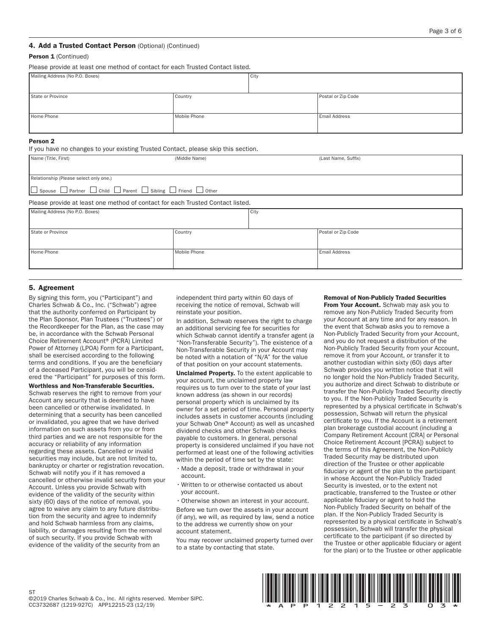#### Person 1 (Continued)

Please provide at least one method of contact for each Trusted Contact listed.

| Mailing Address (No P.O. Boxes) |              | City |                      |
|---------------------------------|--------------|------|----------------------|
| State or Province               | Country      |      | Postal or Zip Code   |
| Home Phone                      | Mobile Phone |      | <b>Email Address</b> |

#### Person 2

If you have no changes to your existing Trusted Contact, please skip this section.

| Name (Title, First)                                                                                      | (Middle Name)                                                                  |      | (Last Name, Suffix)  |  |
|----------------------------------------------------------------------------------------------------------|--------------------------------------------------------------------------------|------|----------------------|--|
| Relationship (Please select only one.)<br>□ Spouse □ Partner □ Child □ Parent □ Sibling □ Friend □ Other |                                                                                |      |                      |  |
|                                                                                                          | Please provide at least one method of contact for each Trusted Contact listed. |      |                      |  |
| Mailing Address (No P.O. Boxes)                                                                          |                                                                                | City |                      |  |
| State or Province                                                                                        | Country                                                                        |      | Postal or Zip Code   |  |
| Home Phone                                                                                               | Mobile Phone                                                                   |      | <b>Email Address</b> |  |

#### 5. Agreement

By signing this form, you ("Participant") and Charles Schwab & Co., Inc. ("Schwab") agree that the authority conferred on Participant by the Plan Sponsor, Plan Trustees ("Trustees") or the Recordkeeper for the Plan, as the case may be, in accordance with the Schwab Personal Choice Retirement Account® (PCRA) Limited Power of Attorney (LPOA) Form for a Participant, shall be exercised according to the following terms and conditions. If you are the beneficiary of a deceased Participant, you will be considered the "Participant" for purposes of this form.

Worthless and Non-Transferable Securities. Schwab reserves the right to remove from your Account any security that is deemed to have been cancelled or otherwise invalidated. In determining that a security has been cancelled or invalidated, you agree that we have derived information on such assets from you or from third parties and we are not responsible for the accuracy or reliability of any information regarding these assets. Cancelled or invalid securities may include, but are not limited to, bankruptcy or charter or registration revocation. Schwab will notify you if it has removed a cancelled or otherwise invalid security from your Account. Unless you provide Schwab with evidence of the validity of the security within sixty (60) days of the notice of removal, you agree to waive any claim to any future distribution from the security and agree to indemnify and hold Schwab harmless from any claims, liability, or damages resulting from the removal of such security. If you provide Schwab with evidence of the validity of the security from an

independent third party within 60 days of receiving the notice of removal, Schwab will reinstate your position.

In addition, Schwab reserves the right to charge an additional servicing fee for securities for which Schwab cannot identify a transfer agent (a "Non-Transferable Security"). The existence of a Non-Transferable Security in your Account may be noted with a notation of "N/A" for the value of that position on your account statements.

Unclaimed Property. To the extent applicable to your account, the unclaimed property law requires us to turn over to the state of your last known address (as shown in our records) personal property which is unclaimed by its owner for a set period of time. Personal property includes assets in customer accounts (including your Schwab One® Account) as well as uncashed dividend checks and other Schwab checks payable to customers. In general, personal property is considered unclaimed if you have not performed at least one of the following activities within the period of time set by the state:

- Made a deposit, trade or withdrawal in your account.
- Written to or otherwise contacted us about your account.
- •Otherwise shown an interest in your account.

Before we turn over the assets in your account (if any), we will, as required by law, send a notice to the address we currently show on your account statement.

You may recover unclaimed property turned over to a state by contacting that state.

#### Removal of Non-Publicly Traded Securities

From Your Account. Schwab may ask you to remove any Non-Publicly Traded Security from your Account at any time and for any reason. In the event that Schwab asks you to remove a Non-Publicly Traded Security from your Account, and you do not request a distribution of the Non-Publicly Traded Security from your Account, remove it from your Account, or transfer it to another custodian within sixty (60) days after Schwab provides you written notice that it will no longer hold the Non-Publicly Traded Security, you authorize and direct Schwab to distribute or transfer the Non-Publicly Traded Security directly to you. If the Non-Publicly Traded Security is represented by a physical certificate in Schwab's possession, Schwab will return the physical certificate to you. If the Account is a retirement plan brokerage custodial account (including a Company Retirement Account [CRA] or Personal Choice Retirement Account [PCRA]) subject to the terms of this Agreement, the Non-Publicly Traded Security may be distributed upon direction of the Trustee or other applicable fiduciary or agent of the plan to the participant in whose Account the Non-Publicly Traded Security is invested, or to the extent not practicable, transferred to the Trustee or other applicable fiduciary or agent to hold the Non-Publicly Traded Security on behalf of the plan. If the Non-Publicly Traded Security is represented by a physical certificate in Schwab's possession, Schwab will transfer the physical certificate to the participant (if so directed by the Trustee or other applicable fiduciary or agent for the plan) or to the Trustee or other applicable

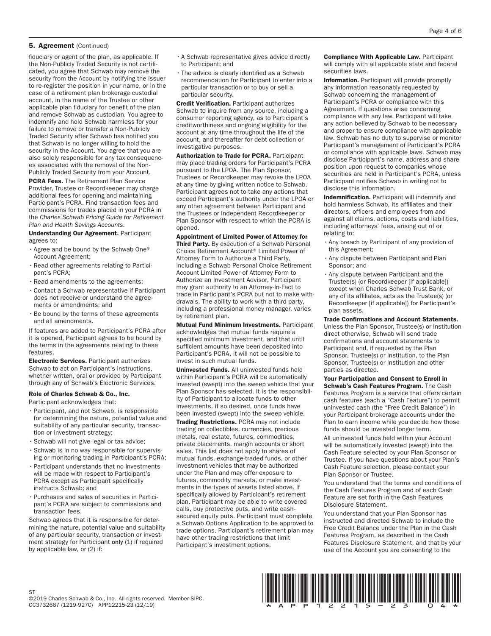#### 5. Agreement (Continued)

fiduciary or agent of the plan, as applicable. If the Non-Publicly Traded Security is not certificated, you agree that Schwab may remove the security from the Account by notifying the issuer to re-register the position in your name, or in the case of a retirement plan brokerage custodial account, in the name of the Trustee or other applicable plan fiduciary for benefit of the plan and remove Schwab as custodian. You agree to indemnify and hold Schwab harmless for your failure to remove or transfer a Non-Publicly Traded Security after Schwab has notified you that Schwab is no longer willing to hold the security in the Account. You agree that you are also solely responsible for any tax consequences associated with the removal of the Non-Publicly Traded Security from your Account.

PCRA Fees. The Retirement Plan Service Provider, Trustee or Recordkeeper may charge additional fees for opening and maintaining Participant's PCRA. Find transaction fees and commissions for trades placed in your PCRA in the *Charles Schwab Pricing Guide for Retirement Plan and Health Savings Accounts*.

Understanding Our Agreement. Participant agrees to:

- •Agree and be bound by the Schwab One® Account Agreement;
- •Read other agreements relating to Participant's PCRA;
- •Read amendments to the agreements;
- •Contact a Schwab representative if Participant does not receive or understand the agreements or amendments; and
- •Be bound by the terms of these agreements and all amendments.

If features are added to Participant's PCRA after it is opened, Participant agrees to be bound by the terms in the agreements relating to these features.

**Electronic Services.** Participant authorizes Schwab to act on Participant's instructions, whether written, oral or provided by Participant through any of Schwab's Electronic Services.

#### Role of Charles Schwab & Co., Inc.

Participant acknowledges that:

- •Participant, and not Schwab, is responsible for determining the nature, potential value and suitability of any particular security, transaction or investment strategy;
- •Schwab will not give legal or tax advice;
- •Schwab is in no way responsible for supervising or monitoring trading in Participant's PCRA;
- •Participant understands that no investments will be made with respect to Participant's PCRA except as Participant specifically instructs Schwab; and
- •Purchases and sales of securities in Participant's PCRA are subject to commissions and transaction fees.

Schwab agrees that it is responsible for determining the nature, potential value and suitability of any particular security, transaction or investment strategy for Participant only (1) if required by applicable law, or (2) if:

- •A Schwab representative gives advice directly to Participant; and
- •The advice is clearly identified as a Schwab recommendation for Participant to enter into a particular transaction or to buy or sell a particular security.

Credit Verification. Participant authorizes Schwab to inquire from any source, including a consumer reporting agency, as to Participant's creditworthiness and ongoing eligibility for the account at any time throughout the life of the account, and thereafter for debt collection or investigative purposes.

**Authorization to Trade for PCRA. Participant** may place trading orders for Participant's PCRA pursuant to the LPOA. The Plan Sponsor, Trustees or Recordkeeper may revoke the LPOA at any time by giving written notice to Schwab. Participant agrees not to take any actions that exceed Participant's authority under the LPOA or any other agreement between Participant and the Trustees or Independent Recordkeeper or Plan Sponsor with respect to which the PCRA is opened.

Appointment of Limited Power of Attorney for **Third Party.** By execution of a Schwab Personal Choice Retirement Account® Limited Power of Attorney Form to Authorize a Third Party, including a Schwab Personal Choice Retirement Account Limited Power of Attorney Form to Authorize an Investment Advisor, Participant may grant authority to an Attorney-In-Fact to trade in Participant's PCRA but not to make withdrawals. The ability to work with a third party, including a professional money manager, varies by retirement plan.

Mutual Fund Minimum Investments. Participant acknowledges that mutual funds require a specified minimum investment, and that until sufficient amounts have been deposited into Participant's PCRA, it will not be possible to invest in such mutual funds.

Uninvested Funds. All uninvested funds held within Participant's PCRA will be automatically invested (swept) into the sweep vehicle that your Plan Sponsor has selected. It is the responsibility of Participant to allocate funds to other investments, if so desired, once funds have been invested (swept) into the sweep vehicle.

**Trading Restrictions. PCRA may not include** trading on collectibles, currencies, precious metals, real estate, futures, commodities, private placements, margin accounts or short sales. This list does not apply to shares of mutual funds, exchange-traded funds, or other investment vehicles that may be authorized under the Plan and may offer exposure to futures, commodity markets, or make investments in the types of assets listed above. If specifically allowed by Participant's retirement plan, Participant may be able to write covered calls, buy protective puts, and write cashsecured equity puts. Participant must complete a Schwab Options Application to be approved to trade options. Participant's retirement plan may have other trading restrictions that limit Participant's investment options.

Compliance With Applicable Law. Participant will comply with all applicable state and federal securities laws.

Information. Participant will provide promptly any information reasonably requested by Schwab concerning the management of Participant's PCRA or compliance with this Agreement. If questions arise concerning compliance with any law, Participant will take any action believed by Schwab to be necessary and proper to ensure compliance with applicable law. Schwab has no duty to supervise or monitor Participant's management of Participant's PCRA or compliance with applicable laws. Schwab may disclose Participant's name, address and share position upon request to companies whose securities are held in Participant's PCRA, unless Participant notifies Schwab in writing not to disclose this information.

Indemnification. Participant will indemnify and hold harmless Schwab, its affiliates and their directors, officers and employees from and against all claims, actions, costs and liabilities, including attorneys' fees, arising out of or relating to:

- •Any breach by Participant of any provision of this Agreement;
- •Any dispute between Participant and Plan Sponsor; and
- •Any dispute between Participant and the Trustee(s) (or Recordkeeper [if applicable]) except when Charles Schwab Trust Bank, or any of its affiliates, acts as the Trustee(s) (or Recordkeeper [if applicable]) for Participant's plan assets.

Trade Confirmations and Account Statements. Unless the Plan Sponsor, Trustee(s) or Institution direct otherwise, Schwab will send trade confirmations and account statements to Participant and, if requested by the Plan Sponsor, Trustee(s) or Institution, to the Plan Sponsor, Trustee(s) or Institution and other parties as directed.

Your Participation and Consent to Enroll in Schwab's Cash Features Program. The Cash Features Program is a service that offers certain cash features (each a "Cash Feature") to permit uninvested cash (the "Free Credit Balance") in your Participant brokerage accounts under the Plan to earn income while you decide how those funds should be invested longer term.

All uninvested funds held within your Account will be automatically invested (swept) into the Cash Feature selected by your Plan Sponsor or Trustee. If you have questions about your Plan's Cash Feature selection, please contact your Plan Sponsor or Trustee.

You understand that the terms and conditions of the Cash Features Program and of each Cash Feature are set forth in the Cash Features Disclosure Statement.

You understand that your Plan Sponsor has instructed and directed Schwab to include the Free Credit Balance under the Plan in the Cash Features Program, as described in the Cash Features Disclosure Statement, and that by your use of the Account you are consenting to the

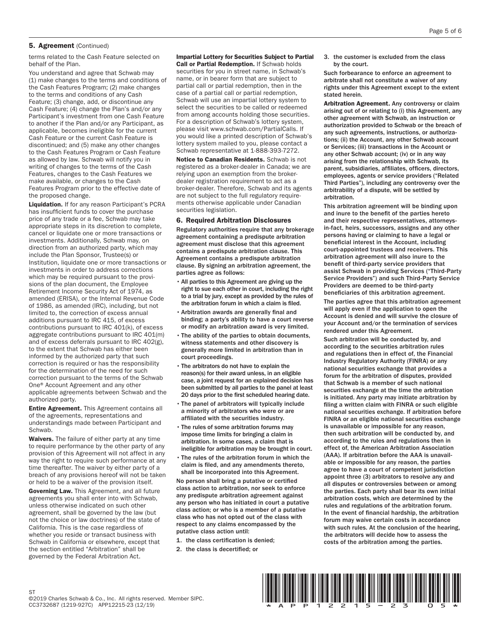#### 5. Agreement (Continued)

terms related to the Cash Feature selected on behalf of the Plan.

You understand and agree that Schwab may (1) make changes to the terms and conditions of the Cash Features Program; (2) make changes to the terms and conditions of any Cash Feature; (3) change, add, or discontinue any Cash Feature; (4) change the Plan's and/or any Participant's investment from one Cash Feature to another if the Plan and/or any Participant, as applicable, becomes ineligible for the current Cash Feature or the current Cash Feature is discontinued; and (5) make any other changes to the Cash Features Program or Cash Feature as allowed by law. Schwab will notify you in writing of changes to the terms of the Cash Features, changes to the Cash Features we make available, or changes to the Cash Features Program prior to the effective date of the proposed change.

Liquidation. If for any reason Participant's PCRA has insufficient funds to cover the purchase price of any trade or a fee, Schwab may take appropriate steps in its discretion to complete, cancel or liquidate one or more transactions or investments. Additionally, Schwab may, on direction from an authorized party, which may include the Plan Sponsor, Trustee(s) or Institution, liquidate one or more transactions or investments in order to address corrections which may be required pursuant to the provisions of the plan document, the Employee Retirement Income Security Act of 1974, as amended (ERISA), or the Internal Revenue Code of 1986, as amended (IRC), including, but not limited to, the correction of excess annual additions pursuant to IRC 415, of excess contributions pursuant to IRC 401(k), of excess aggregate contributions pursuant to IRC 401(m) and of excess deferrals pursuant to IRC 402(g), to the extent that Schwab has either been informed by the authorized party that such correction is required or has the responsibility for the determination of the need for such correction pursuant to the terms of the Schwab One® Account Agreement and any other applicable agreements between Schwab and the authorized party.

Entire Agreement. This Agreement contains all of the agreements, representations and understandings made between Participant and Schwab.

Waivers. The failure of either party at any time to require performance by the other party of any provision of this Agreement will not affect in any way the right to require such performance at any time thereafter. The waiver by either party of a breach of any provisions hereof will not be taken or held to be a waiver of the provision itself.

Governing Law. This Agreement, and all future agreements you shall enter into with Schwab, unless otherwise indicated on such other agreement, shall be governed by the law (but not the choice or law doctrines) of the state of California. This is the case regardless of whether you reside or transact business with Schwab in California or elsewhere, except that the section entitled "Arbitration" shall be governed by the Federal Arbitration Act.

#### Impartial Lottery for Securities Subject to Partial **Call or Partial Redemption.** If Schwab holds

securities for you in street name, in Schwab's name, or in bearer form that are subject to partial call or partial redemption, then in the case of a partial call or partial redemption, Schwab will use an impartial lottery system to select the securities to be called or redeemed from among accounts holding those securities. For a description of Schwab's lottery system, please visit www.schwab.com/PartialCalls. If you would like a printed description of Schwab's lottery system mailed to you, please contact a Schwab representative at 1-888-393-7272.

Notice to Canadian Residents. Schwab is not registered as a broker-dealer in Canada; we are relying upon an exemption from the brokerdealer registration requirement to act as a broker-dealer. Therefore, Schwab and its agents are not subject to the full regulatory requirements otherwise applicable under Canadian securities legislation.

#### 6. Required Arbitration Disclosures

Regulatory authorities require that any brokerage agreement containing a predispute arbitration agreement must disclose that this agreement contains a predispute arbitration clause. This Agreement contains a predispute arbitration clause. By signing an arbitration agreement, the parties agree as follows:

- All parties to this Agreement are giving up the right to sue each other in court, including the right to a trial by jury, except as provided by the rules of the arbitration forum in which a claim is filed.
- Arbitration awards are generally final and binding; a party's ability to have a court reverse or modify an arbitration award is very limited.
- The ability of the parties to obtain documents, witness statements and other discovery is generally more limited in arbitration than in court proceedings.
- The arbitrators do not have to explain the reason(s) for their award unless, in an eligible case, a joint request for an explained decision has been submitted by all parties to the panel at least 20 days prior to the first scheduled hearing date.
- The panel of arbitrators will typically include a minority of arbitrators who were or are affiliated with the securities industry.
- The rules of some arbitration forums may impose time limits for bringing a claim in arbitration. In some cases, a claim that is ineligible for arbitration may be brought in court.
- The rules of the arbitration forum in which the claim is filed, and any amendments thereto, shall be incorporated into this Agreement.

No person shall bring a putative or certified class action to arbitration, nor seek to enforce any predispute arbitration agreement against any person who has initiated in court a putative class action; or who is a member of a putative class who has not opted out of the class with respect to any claims encompassed by the putative class action until:

- 1. the class certification is denied;
- 2. the class is decertified; or

3. the customer is excluded from the class by the court.

Such forbearance to enforce an agreement to arbitrate shall not constitute a waiver of any rights under this Agreement except to the extent stated herein.

Arbitration Agreement. Any controversy or claim arising out of or relating to (i) this Agreement, any other agreement with Schwab, an instruction or authorization provided to Schwab or the breach of any such agreements, instructions, or authorizations; (ii) the Account, any other Schwab account or Services; (iii) transactions in the Account or any other Schwab account; (iv) or in any way arising from the relationship with Schwab, its parent, subsidiaries, affiliates, officers, directors, employees, agents or service providers ("Related Third Parties"), including any controversy over the arbitrability of a dispute, will be settled by arbitration.

This arbitration agreement will be binding upon and inure to the benefit of the parties hereto and their respective representatives, attorneysin-fact, heirs, successors, assigns and any other persons having or claiming to have a legal or beneficial interest in the Account, including court-appointed trustees and receivers. This arbitration agreement will also inure to the benefit of third-party service providers that assist Schwab in providing Services ("Third-Party Service Providers") and such Third-Party Service Providers are deemed to be third-party beneficiaries of this arbitration agreement.

The parties agree that this arbitration agreement will apply even if the application to open the Account is denied and will survive the closure of your Account and/or the termination of services rendered under this Agreement.

Such arbitration will be conducted by, and according to the securities arbitration rules and regulations then in effect of, the Financial Industry Regulatory Authority (FINRA) or any national securities exchange that provides a forum for the arbitration of disputes, provided that Schwab is a member of such national securities exchange at the time the arbitration is initiated. Any party may initiate arbitration by filing a written claim with FINRA or such eligible national securities exchange. If arbitration before FINRA or an eligible national securities exchange is unavailable or impossible for any reason, then such arbitration will be conducted by, and according to the rules and regulations then in effect of, the American Arbitration Association (AAA). If arbitration before the AAA is unavailable or impossible for any reason, the parties agree to have a court of competent jurisdiction appoint three (3) arbitrators to resolve any and all disputes or controversies between or among the parties. Each party shall bear its own initial arbitration costs, which are determined by the rules and regulations of the arbitration forum. In the event of financial hardship, the arbitration forum may waive certain costs in accordance with such rules. At the conclusion of the hearing, the arbitrators will decide how to assess the costs of the arbitration among the parties.

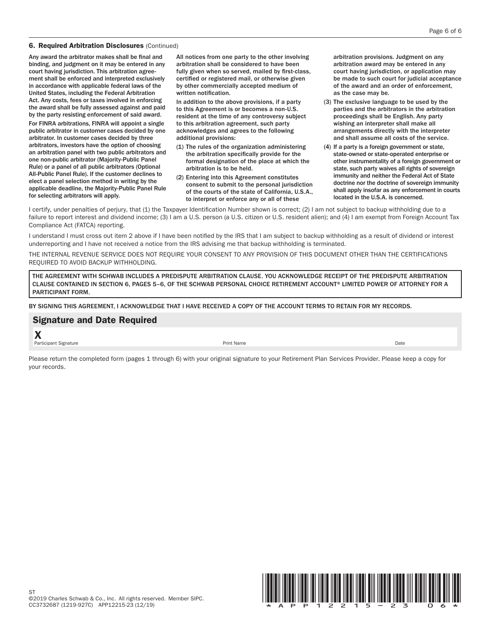#### 6. Required Arbitration Disclosures (Continued)

Any award the arbitrator makes shall be final and binding, and judgment on it may be entered in any court having jurisdiction. This arbitration agreement shall be enforced and interpreted exclusively in accordance with applicable federal laws of the United States, including the Federal Arbitration Act. Any costs, fees or taxes involved in enforcing the award shall be fully assessed against and paid by the party resisting enforcement of said award.

For FINRA arbitrations, FINRA will appoint a single public arbitrator in customer cases decided by one arbitrator. In customer cases decided by three arbitrators, investors have the option of choosing an arbitration panel with two public arbitrators and one non-public arbitrator (Majority-Public Panel Rule) or a panel of all public arbitrators (Optional All-Public Panel Rule). If the customer declines to elect a panel selection method in writing by the applicable deadline, the Majority-Public Panel Rule for selecting arbitrators will apply.

All notices from one party to the other involving arbitration shall be considered to have been fully given when so served, mailed by first-class, certified or registered mail, or otherwise given by other commercially accepted medium of written notification.

In addition to the above provisions, if a party to this Agreement is or becomes a non-U.S. resident at the time of any controversy subject to this arbitration agreement, such party acknowledges and agrees to the following additional provisions:

- (1) The rules of the organization administering the arbitration specifically provide for the formal designation of the place at which the arbitration is to be held.
- (2) Entering into this Agreement constitutes consent to submit to the personal jurisdiction of the courts of the state of California, U.S.A., to interpret or enforce any or all of these

arbitration provisions. Judgment on any arbitration award may be entered in any court having jurisdiction, or application may be made to such court for judicial acceptance of the award and an order of enforcement, as the case may be.

- (3) The exclusive language to be used by the parties and the arbitrators in the arbitration proceedings shall be English. Any party wishing an interpreter shall make all arrangements directly with the interpreter and shall assume all costs of the service.
- (4) If a party is a foreign government or state, state-owned or state-operated enterprise or other instrumentality of a foreign government or state, such party waives all rights of sovereign immunity and neither the Federal Act of State doctrine nor the doctrine of sovereign immunity shall apply insofar as any enforcement in courts located in the U.S.A. is concerned.

I certify, under penalties of perjury, that (1) the Taxpayer Identification Number shown is correct; (2) I am not subject to backup withholding due to a failure to report interest and dividend income; (3) I am a U.S. person (a U.S. citizen or U.S. resident alien); and (4) I am exempt from Foreign Account Tax Compliance Act (FATCA) reporting.

I understand I must cross out item 2 above if I have been notified by the IRS that I am subject to backup withholding as a result of dividend or interest underreporting and I have not received a notice from the IRS advising me that backup withholding is terminated.

THE INTERNAL REVENUE SERVICE DOES NOT REQUIRE YOUR CONSENT TO ANY PROVISION OF THIS DOCUMENT OTHER THAN THE CERTIFICATIONS REQUIRED TO AVOID BACKUP WITHHOLDING.

THE AGREEMENT WITH SCHWAB INCLUDES A PREDISPUTE ARBITRATION CLAUSE. YOU ACKNOWLEDGE RECEIPT OF THE PREDISPUTE ARBITRATION CLAUSE CONTAINED IN SECTION 6, PAGES 5–6, OF THE SCHWAB PERSONAL CHOICE RETIREMENT ACCOUNT® LIMITED POWER OF ATTORNEY FOR A PARTICIPANT FORM.

BY SIGNING THIS AGREEMENT, I ACKNOWLEDGE THAT I HAVE RECEIVED A COPY OF THE ACCOUNT TERMS TO RETAIN FOR MY RECORDS.

### Signature and Date Required X

Participant Signature **Prince and American Control** Print Name **Print Name** Print Name **Date** Print Name **Date** 

Please return the completed form (pages 1 through 6) with your original signature to your Retirement Plan Services Provider. Please keep a copy for your records.

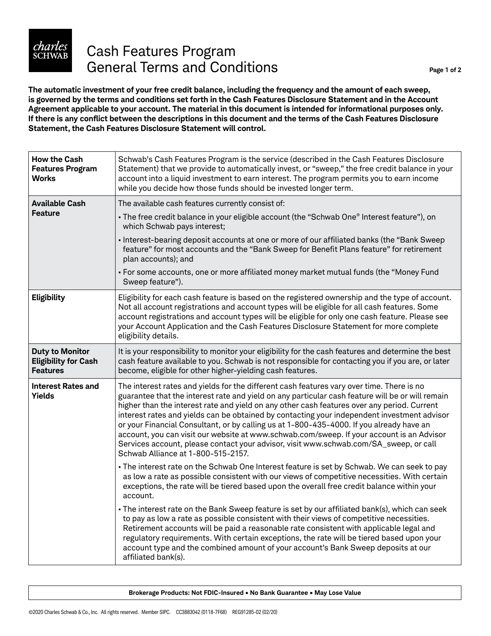

# Cash Features Program General Terms and Conditions **Page 1 of 2** Page 1 of 2

**The automatic investment of your free credit balance, including the frequency and the amount of each sweep, is governed by the terms and conditions set forth in the Cash Features Disclosure Statement and in the Account Agreement applicable to your account. The material in this document is intended for informational purposes only.**  If there is any conflict between the descriptions in this document and the terms of the Cash Features Disclosure **Statement, the Cash Features Disclosure Statement will control.**

| <b>How the Cash</b><br><b>Features Program</b><br><b>Works</b>           | Schwab's Cash Features Program is the service (described in the Cash Features Disclosure<br>Statement) that we provide to automatically invest, or "sweep," the free credit balance in your<br>account into a liquid investment to earn interest. The program permits you to earn income<br>while you decide how those funds should be invested longer term.                                                                                                                                                                                                                                                                                                                                                        |
|--------------------------------------------------------------------------|---------------------------------------------------------------------------------------------------------------------------------------------------------------------------------------------------------------------------------------------------------------------------------------------------------------------------------------------------------------------------------------------------------------------------------------------------------------------------------------------------------------------------------------------------------------------------------------------------------------------------------------------------------------------------------------------------------------------|
| <b>Available Cash</b>                                                    | The available cash features currently consist of:                                                                                                                                                                                                                                                                                                                                                                                                                                                                                                                                                                                                                                                                   |
| <b>Feature</b>                                                           | - The free credit balance in your eligible account (the "Schwab One® Interest feature"), on<br>which Schwab pays interest;                                                                                                                                                                                                                                                                                                                                                                                                                                                                                                                                                                                          |
|                                                                          | - Interest-bearing deposit accounts at one or more of our affiliated banks (the "Bank Sweep<br>feature" for most accounts and the "Bank Sweep for Benefit Plans feature" for retirement<br>plan accounts); and                                                                                                                                                                                                                                                                                                                                                                                                                                                                                                      |
|                                                                          | - For some accounts, one or more affiliated money market mutual funds (the "Money Fund<br>Sweep feature").                                                                                                                                                                                                                                                                                                                                                                                                                                                                                                                                                                                                          |
| Eligibility                                                              | Eligibility for each cash feature is based on the registered ownership and the type of account.<br>Not all account registrations and account types will be eligible for all cash features. Some<br>account registrations and account types will be eligible for only one cash feature. Please see<br>your Account Application and the Cash Features Disclosure Statement for more complete<br>eligibility details.                                                                                                                                                                                                                                                                                                  |
| <b>Duty to Monitor</b><br><b>Eligibility for Cash</b><br><b>Features</b> | It is your responsibility to monitor your eligibility for the cash features and determine the best<br>cash feature available to you. Schwab is not responsible for contacting you if you are, or later<br>become, eligible for other higher-yielding cash features.                                                                                                                                                                                                                                                                                                                                                                                                                                                 |
| <b>Interest Rates and</b><br><b>Yields</b>                               | The interest rates and yields for the different cash features vary over time. There is no<br>guarantee that the interest rate and yield on any particular cash feature will be or will remain<br>higher than the interest rate and yield on any other cash features over any period. Current<br>interest rates and yields can be obtained by contacting your independent investment advisor<br>or your Financial Consultant, or by calling us at 1-800-435-4000. If you already have an<br>account, you can visit our website at www.schwab.com/sweep. If your account is an Advisor<br>Services account, please contact your advisor, visit www.schwab.com/SA_sweep, or call<br>Schwab Alliance at 1-800-515-2157. |
|                                                                          | - The interest rate on the Schwab One Interest feature is set by Schwab. We can seek to pay<br>as low a rate as possible consistent with our views of competitive necessities. With certain<br>exceptions, the rate will be tiered based upon the overall free credit balance within your<br>account.                                                                                                                                                                                                                                                                                                                                                                                                               |
|                                                                          | - The interest rate on the Bank Sweep feature is set by our affiliated bank(s), which can seek<br>to pay as low a rate as possible consistent with their views of competitive necessities.<br>Retirement accounts will be paid a reasonable rate consistent with applicable legal and<br>regulatory requirements. With certain exceptions, the rate will be tiered based upon your<br>account type and the combined amount of your account's Bank Sweep deposits at our<br>affiliated bank(s).                                                                                                                                                                                                                      |

**Brokerage Products: Not FDIC-Insured • No Bank Guarantee • May Lose Value**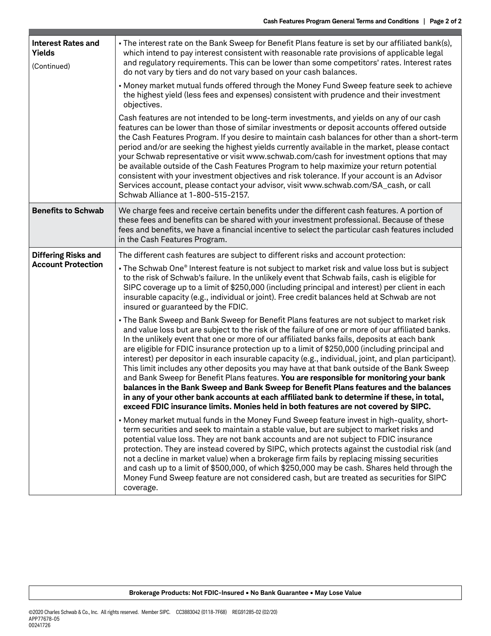| <b>Interest Rates and</b><br><b>Yields</b><br>(Continued) | - The interest rate on the Bank Sweep for Benefit Plans feature is set by our affiliated bank(s),<br>which intend to pay interest consistent with reasonable rate provisions of applicable legal<br>and regulatory requirements. This can be lower than some competitors' rates. Interest rates<br>do not vary by tiers and do not vary based on your cash balances.<br>- Money market mutual funds offered through the Money Fund Sweep feature seek to achieve<br>the highest yield (less fees and expenses) consistent with prudence and their investment<br>objectives.                                                                                                                                                                                                                                                                                                                                                                                                    |
|-----------------------------------------------------------|--------------------------------------------------------------------------------------------------------------------------------------------------------------------------------------------------------------------------------------------------------------------------------------------------------------------------------------------------------------------------------------------------------------------------------------------------------------------------------------------------------------------------------------------------------------------------------------------------------------------------------------------------------------------------------------------------------------------------------------------------------------------------------------------------------------------------------------------------------------------------------------------------------------------------------------------------------------------------------|
|                                                           | Cash features are not intended to be long-term investments, and yields on any of our cash<br>features can be lower than those of similar investments or deposit accounts offered outside<br>the Cash Features Program. If you desire to maintain cash balances for other than a short-term<br>period and/or are seeking the highest yields currently available in the market, please contact<br>your Schwab representative or visit www.schwab.com/cash for investment options that may<br>be available outside of the Cash Features Program to help maximize your return potential<br>consistent with your investment objectives and risk tolerance. If your account is an Advisor<br>Services account, please contact your advisor, visit www.schwab.com/SA_cash, or call<br>Schwab Alliance at 1-800-515-2157.                                                                                                                                                              |
| <b>Benefits to Schwab</b>                                 | We charge fees and receive certain benefits under the different cash features. A portion of<br>these fees and benefits can be shared with your investment professional. Because of these<br>fees and benefits, we have a financial incentive to select the particular cash features included<br>in the Cash Features Program.                                                                                                                                                                                                                                                                                                                                                                                                                                                                                                                                                                                                                                                  |
| <b>Differing Risks and</b>                                | The different cash features are subject to different risks and account protection:                                                                                                                                                                                                                                                                                                                                                                                                                                                                                                                                                                                                                                                                                                                                                                                                                                                                                             |
| <b>Account Protection</b>                                 | - The Schwab One® Interest feature is not subject to market risk and value loss but is subject<br>to the risk of Schwab's failure. In the unlikely event that Schwab fails, cash is eligible for<br>SIPC coverage up to a limit of \$250,000 (including principal and interest) per client in each<br>insurable capacity (e.g., individual or joint). Free credit balances held at Schwab are not<br>insured or guaranteed by the FDIC.                                                                                                                                                                                                                                                                                                                                                                                                                                                                                                                                        |
|                                                           | - The Bank Sweep and Bank Sweep for Benefit Plans features are not subject to market risk<br>and value loss but are subject to the risk of the failure of one or more of our affiliated banks.<br>In the unlikely event that one or more of our affiliated banks fails, deposits at each bank<br>are eligible for FDIC insurance protection up to a limit of \$250,000 (including principal and<br>interest) per depositor in each insurable capacity (e.g., individual, joint, and plan participant).<br>This limit includes any other deposits you may have at that bank outside of the Bank Sweep<br>and Bank Sweep for Benefit Plans features. You are responsible for monitoring your bank<br>balances in the Bank Sweep and Bank Sweep for Benefit Plans features and the balances<br>in any of your other bank accounts at each affiliated bank to determine if these, in total,<br>exceed FDIC insurance limits. Monies held in both features are not covered by SIPC. |
|                                                           | - Money market mutual funds in the Money Fund Sweep feature invest in high-quality, short-<br>term securities and seek to maintain a stable value, but are subject to market risks and<br>potential value loss. They are not bank accounts and are not subject to FDIC insurance<br>protection. They are instead covered by SIPC, which protects against the custodial risk (and<br>not a decline in market value) when a brokerage firm fails by replacing missing securities<br>and cash up to a limit of \$500,000, of which \$250,000 may be cash. Shares held through the<br>Money Fund Sweep feature are not considered cash, but are treated as securities for SIPC<br>coverage.                                                                                                                                                                                                                                                                                        |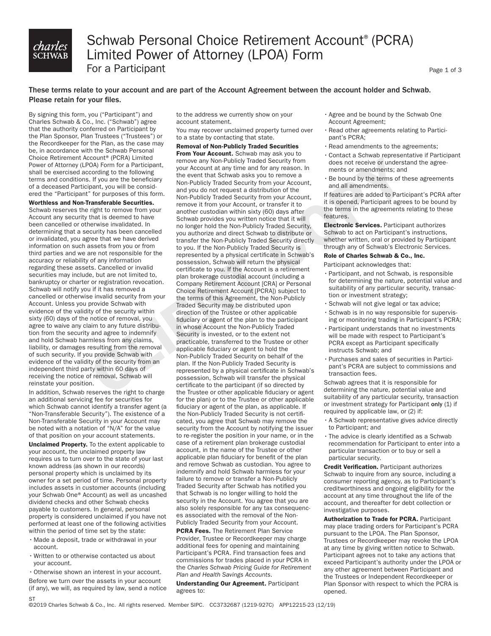# *charles*<br>schwab

## Schwab Personal Choice Retirement Account®(PCRA) Limited Power of Attorney (LPOA) Form For a Participant

Page 1 of 3

#### These terms relate to your account and are part of the Account Agreement between the account holder and Schwab. Please retain for your files.

By signing this form, you ("Participant") and Charles Schwab & Co., Inc. ("Schwab") agree that the authority conferred on Participant by the Plan Sponsor, Plan Trustees ("Trustees") or the Recordkeeper for the Plan, as the case may be, in accordance with the Schwab Personal Choice Retirement Account® (PCRA) Limited Power of Attorney (LPOA) Form for a Participant, shall be exercised according to the following terms and conditions. If you are the beneficiary of a deceased Participant, you will be considered the "Participant" for purposes of this form.

#### Worthless and Non-Transferable Securities.

Schwab reserves the right to remove from your Account any security that is deemed to have been cancelled or otherwise invalidated. In determining that a security has been cancelled or invalidated, you agree that we have derived information on such assets from you or from third parties and we are not responsible for the accuracy or reliability of any information regarding these assets. Cancelled or invalid securities may include, but are not limited to, bankruptcy or charter or registration revocation. Schwab will notify you if it has removed a cancelled or otherwise invalid security from your Account. Unless you provide Schwab with evidence of the validity of the security within sixty (60) days of the notice of removal, you agree to waive any claim to any future distribution from the security and agree to indemnify and hold Schwab harmless from any claims, liability, or damages resulting from the removal of such security. If you provide Schwab with evidence of the validity of the security from an independent third party within 60 days of receiving the notice of removal, Schwab will reinstate your position.

In addition, Schwab reserves the right to charge an additional servicing fee for securities for which Schwab cannot identify a transfer agent (a "Non-Transferable Security"). The existence of a Non-Transferable Security in your Account may be noted with a notation of "N/A" for the value of that position on your account statements.

Unclaimed Property. To the extent applicable to your account, the unclaimed property law requires us to turn over to the state of your last known address (as shown in our records) personal property which is unclaimed by its owner for a set period of time. Personal property includes assets in customer accounts (including your Schwab One® Account) as well as uncashed dividend checks and other Schwab checks payable to customers. In general, personal property is considered unclaimed if you have not performed at least one of the following activities within the period of time set by the state:

- Made a deposit, trade or withdrawal in your account.
- Written to or otherwise contacted us about your account.

•Otherwise shown an interest in your account. Before we turn over the assets in your account (if any), we will, as required by law, send a notice **ST** 

to the address we currently show on your account statement.

You may recover unclaimed property turned over to a state by contacting that state.

#### Removal of Non-Publicly Traded Securities

From Your Account. Schwab may ask you to remove any Non-Publicly Traded Security from your Account at any time and for any reason. In the event that Schwab asks you to remove a Non-Publicly Traded Security from your Account, and you do not request a distribution of the Non-Publicly Traded Security from your Account, remove it from your Account, or transfer it to another custodian within sixty (60) days after Schwab provides you written notice that it will no longer hold the Non-Publicly Traded Security, you authorize and direct Schwab to distribute or transfer the Non-Publicly Traded Security directly to you. If the Non-Publicly Traded Security is represented by a physical certificate in Schwab's possession, Schwab will return the physical certificate to you. If the Account is a retirement plan brokerage custodial account (including a Company Retirement Account [CRA] or Personal Choice Retirement Account [PCRA]) subject to the terms of this Agreement, the Non-Publicly Traded Security may be distributed upon direction of the Trustee or other applicable fiduciary or agent of the plan to the participant in whose Account the Non-Publicly Traded Security is invested, or to the extent not practicable, transferred to the Trustee or other applicable fiduciary or agent to hold the Non-Publicly Traded Security on behalf of the plan. If the Non-Publicly Traded Security is represented by a physical certificate in Schwab's possession, Schwab will transfer the physical certificate to the participant (if so directed by the Trustee or other applicable fiduciary or agent for the plan) or to the Trustee or other applicable fiduciary or agent of the plan, as applicable. If the Non-Publicly Traded Security is not certificated, you agree that Schwab may remove the security from the Account by notifying the issuer to re-register the position in your name, or in the case of a retirement plan brokerage custodial account, in the name of the Trustee or other applicable plan fiduciary for benefit of the plan and remove Schwab as custodian. You agree to indemnify and hold Schwab harmless for your failure to remove or transfer a Non-Publicly Traded Security after Schwab has notified you that Schwab is no longer willing to hold the security in the Account. You agree that you are also solely responsible for any tax consequences associated with the removal of the Non-Publicly Traded Security from your Account.

**PCRA Fees.** The Retirement Plan Service Provider, Trustee or Recordkeeper may charge additional fees for opening and maintaining Participant's PCRA. Find transaction fees and commissions for trades placed in your PCRA in the *Charles Schwab Pricing Guide for Retirement Plan and Health Savings Accounts*.

Understanding Our Agreement. Participant agrees to:

- •Agree and be bound by the Schwab One Account Agreement;
- •Read other agreements relating to Participant's PCRA;
- •Read amendments to the agreements;
- •Contact a Schwab representative if Participant does not receive or understand the agreements or amendments; and
- •Be bound by the terms of these agreements and all amendments.

If features are added to Participant's PCRA after it is opened, Participant agrees to be bound by the terms in the agreements relating to these features.

Electronic Services. Participant authorizes Schwab to act on Participant's instructions, whether written, oral or provided by Participant through any of Schwab's Electronic Services.

#### Role of Charles Schwab & Co., Inc.

Participant acknowledges that:

- •Participant, and not Schwab, is responsible for determining the nature, potential value and suitability of any particular security, transaction or investment strategy;
- •Schwab will not give legal or tax advice;
- •Schwab is in no way responsible for supervising or monitoring trading in Participant's PCRA;
- •Participant understands that no investments will be made with respect to Participant's PCRA except as Participant specifically instructs Schwab; and
- •Purchases and sales of securities in Participant's PCRA are subject to commissions and transaction fees.

Schwab agrees that it is responsible for determining the nature, potential value and suitability of any particular security, transaction or investment strategy for Participant only (1) if required by applicable law, or (2) if:

- •A Schwab representative gives advice directly to Participant; and
- •The advice is clearly identified as a Schwab recommendation for Participant to enter into a particular transaction or to buy or sell a particular security.

Credit Verification. Participant authorizes Schwab to inquire from any source, including a consumer reporting agency, as to Participant's creditworthiness and ongoing eligibility for the account at any time throughout the life of the account, and thereafter for debt collection or investigative purposes.

Authorization to Trade for PCRA. Participant may place trading orders for Participant's PCRA pursuant to the LPOA. The Plan Sponsor, Trustees or Recordkeeper may revoke the LPOA at any time by giving written notice to Schwab. Participant agrees not to take any actions that exceed Participant's authority under the LPOA or any other agreement between Participant and the Trustees or Independent Recordkeeper or Plan Sponsor with respect to which the PCRA is opened.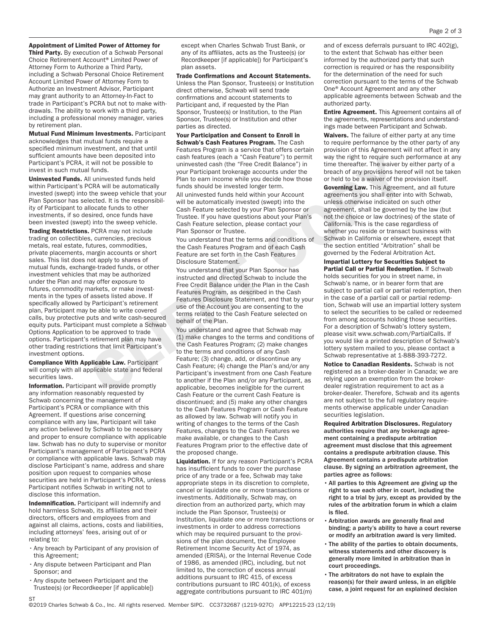#### Appointment of Limited Power of Attorney for

Third Party. By execution of a Schwab Personal Choice Retirement Account® Limited Power of Attorney Form to Authorize a Third Party, including a Schwab Personal Choice Retirement Account Limited Power of Attorney Form to Authorize an Investment Advisor, Participant may grant authority to an Attorney-In-Fact to trade in Participant's PCRA but not to make withdrawals. The ability to work with a third party, including a professional money manager, varies by retirement plan.

Mutual Fund Minimum Investments. Participant acknowledges that mutual funds require a specified minimum investment, and that until sufficient amounts have been deposited into Participant's PCRA, it will not be possible to invest in such mutual funds.

Uninvested Funds. All uninvested funds held within Participant's PCRA will be automatically invested (swept) into the sweep vehicle that your Plan Sponsor has selected. It is the responsibility of Participant to allocate funds to other investments, if so desired, once funds have been invested (swept) into the sweep vehicle.

**Trading Restrictions. PCRA may not include** trading on collectibles, currencies, precious metals, real estate, futures, commodities, private placements, margin accounts or short sales. This list does not apply to shares of mutual funds, exchange-traded funds, or other investment vehicles that may be authorized under the Plan and may offer exposure to futures, commodity markets, or make investments in the types of assets listed above. If specifically allowed by Participant's retirement plan, Participant may be able to write covered calls, buy protective puts and write cash-secured equity puts. Participant must complete a Schwab Options Application to be approved to trade options. Participant's retirement plan may have other trading restrictions that limit Participant's investment options.

Compliance With Applicable Law. Participant will comply with all applicable state and federal securities laws.

Information. Participant will provide promptly any information reasonably requested by Schwab concerning the management of Participant's PCRA or compliance with this Agreement. If questions arise concerning compliance with any law, Participant will take any action believed by Schwab to be necessary and proper to ensure compliance with applicable law. Schwab has no duty to supervise or monitor Participant's management of Participant's PCRA or compliance with applicable laws. Schwab may disclose Participant's name, address and share position upon request to companies whose securities are held in Participant's PCRA, unless Participant notifies Schwab in writing not to disclose this information.

Indemnification. Participant will indemnify and hold harmless Schwab, its affiliates and their directors, officers and employees from and against all claims, actions, costs and liabilities, including attorneys' fees, arising out of or relating to:

- •Any breach by Participant of any provision of this Agreement;
- •Any dispute between Participant and Plan Sponsor; and
- •Any dispute between Participant and the Trustee(s) (or Recordkeeper [if applicable])

except when Charles Schwab Trust Bank, or any of its affiliates, acts as the Trustee(s) (or Recordkeeper [if applicable]) for Participant's plan assets.

Trade Confirmations and Account Statements. Unless the Plan Sponsor, Trustee(s) or Institution direct otherwise, Schwab will send trade confirmations and account statements to Participant and, if requested by the Plan Sponsor, Trustee(s) or Institution, to the Plan Sponsor, Trustee(s) or Institution and other parties as directed.

Your Participation and Consent to Enroll in Schwab's Cash Features Program. The Cash Features Program is a service that offers certain cash features (each a "Cash Feature") to permit uninvested cash (the "Free Credit Balance") in your Participant brokerage accounts under the Plan to earn income while you decide how those funds should be invested longer term.

All uninvested funds held within your Account will be automatically invested (swept) into the Cash Feature selected by your Plan Sponsor or Trustee. If you have questions about your Plan's Cash Feature selection, please contact your Plan Sponsor or Trustee.

You understand that the terms and conditions of the Cash Features Program and of each Cash Feature are set forth in the Cash Features Disclosure Statement.

You understand that your Plan Sponsor has instructed and directed Schwab to include the Free Credit Balance under the Plan in the Cash Features Program, as described in the Cash Features Disclosure Statement, and that by your use of the Account you are consenting to the terms related to the Cash Feature selected on behalf of the Plan.

You understand and agree that Schwab may (1) make changes to the terms and conditions of the Cash Features Program; (2) make changes to the terms and conditions of any Cash Feature; (3) change, add, or discontinue any Cash Feature; (4) change the Plan's and/or any Participant's investment from one Cash Feature to another if the Plan and/or any Participant, as applicable, becomes ineligible for the current Cash Feature or the current Cash Feature is discontinued; and (5) make any other changes to the Cash Features Program or Cash Feature as allowed by law. Schwab will notify you in writing of changes to the terms of the Cash Features, changes to the Cash Features we make available, or changes to the Cash Features Program prior to the effective date of the proposed change.

Liquidation. If for any reason Participant's PCRA has insufficient funds to cover the purchase price of any trade or a fee, Schwab may take appropriate steps in its discretion to complete, cancel or liquidate one or more transactions or investments. Additionally, Schwab may, on direction from an authorized party, which may include the Plan Sponsor, Trustee(s) or Institution, liquidate one or more transactions or investments in order to address corrections which may be required pursuant to the provisions of the plan document, the Employee Retirement Income Security Act of 1974, as amended (ERISA), or the Internal Revenue Code of 1986, as amended (IRC), including, but not limited to, the correction of excess annual additions pursuant to IRC 415, of excess contributions pursuant to IRC 401(k), of excess aggregate contributions pursuant to IRC 401(m)

and of excess deferrals pursuant to IRC 402(g), to the extent that Schwab has either been informed by the authorized party that such correction is required or has the responsibility for the determination of the need for such correction pursuant to the terms of the Schwab One® Account Agreement and any other applicable agreements between Schwab and the authorized party.

Entire Agreement. This Agreement contains all of the agreements, representations and understandings made between Participant and Schwab.

Waivers. The failure of either party at any time to require performance by the other party of any provision of this Agreement will not affect in any way the right to require such performance at any time thereafter. The waiver by either party of a breach of any provisions hereof will not be taken or held to be a waiver of the provision itself.

Governing Law. This Agreement, and all future agreements you shall enter into with Schwab, unless otherwise indicated on such other agreement, shall be governed by the law (but not the choice or law doctrines) of the state of California. This is the case regardless of whether you reside or transact business with Schwab in California or elsewhere, except that the section entitled "Arbitration" shall be governed by the Federal Arbitration Act.

Impartial Lottery for Securities Subject to Partial Call or Partial Redemption. If Schwab holds securities for you in street name, in Schwab's name, or in bearer form that are subject to partial call or partial redemption, then in the case of a partial call or partial redemption, Schwab will use an impartial lottery system to select the securities to be called or redeemed from among accounts holding those securities. For a description of Schwab's lottery system, please visit www.schwab.com/PartialCalls. If you would like a printed description of Schwab's lottery system mailed to you, please contact a Schwab representative at 1-888-393-7272.

Notice to Canadian Residents. Schwab is not registered as a broker-dealer in Canada; we are relying upon an exemption from the brokerdealer registration requirement to act as a broker-dealer. Therefore, Schwab and its agents are not subject to the full regulatory requirements otherwise applicable under Canadian securities legislation.

Required Arbitration Disclosures. Regulatory authorities require that any brokerage agreement containing a predispute arbitration agreement must disclose that this agreement contains a predispute arbitration clause. This Agreement contains a predispute arbitration clause. By signing an arbitration agreement, the parties agree as follows:

- All parties to this Agreement are giving up the right to sue each other in court, including the right to a trial by jury, except as provided by the rules of the arbitration forum in which a claim is filed.
- Arbitration awards are generally final and binding; a party's ability to have a court reverse or modify an arbitration award is very limited.
- The ability of the parties to obtain documents, witness statements and other discovery is generally more limited in arbitration than in court proceedings.
- The arbitrators do not have to explain the reason(s) for their award unless, in an eligible case, a joint request for an explained decision